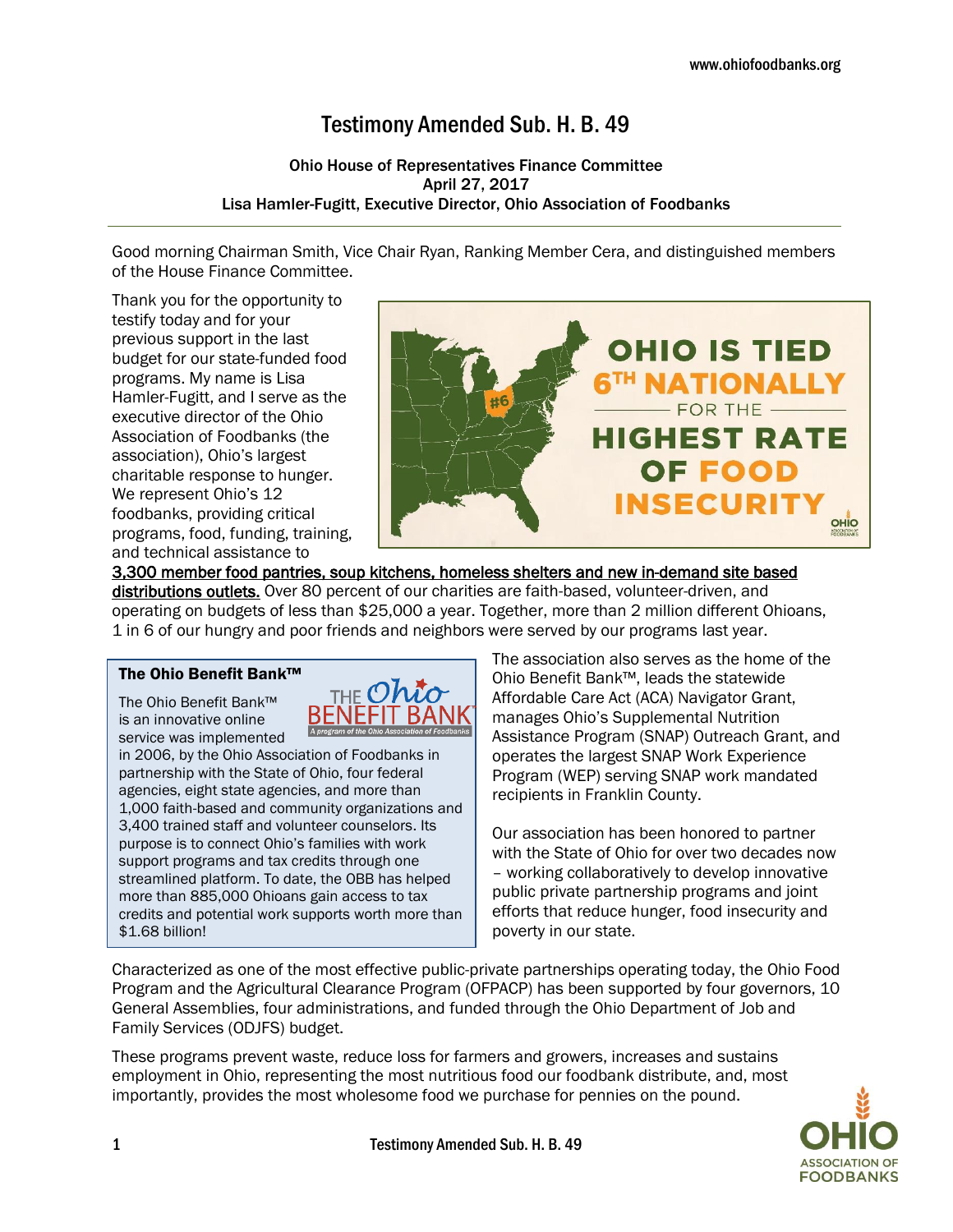# Testimony Amended Sub. H. B. 49

## Ohio House of Representatives Finance Committee April 27, 2017 Lisa Hamler-Fugitt, Executive Director, Ohio Association of Foodbanks

Good morning Chairman Smith, Vice Chair Ryan, Ranking Member Cera, and distinguished members of the House Finance Committee.

Thank you for the opportunity to testify today and for your previous support in the last budget for our state-funded food programs. My name is Lisa Hamler-Fugitt, and I serve as the executive director of the Ohio Association of Foodbanks (the association), Ohio's largest charitable response to hunger. We represent Ohio's 12 foodbanks, providing critical programs, food, funding, training, and technical assistance to



3,300 member food pantries, soup kitchens, homeless shelters and new in-demand site based distributions outlets. Over 80 percent of our charities are faith-based, volunteer-driven, and operating on budgets of less than \$25,000 a year. Together, more than 2 million different Ohioans, 1 in 6 of our hungry and poor friends and neighbors were served by our programs last year.

### The Ohio Benefit Bank™

The Ohio Benefit Bank™ is an innovative online service was implemented



in 2006, by the Ohio Association of Foodbanks in partnership with the State of Ohio, four federal agencies, eight state agencies, and more than 1,000 faith-based and community organizations and 3,400 trained staff and volunteer counselors. Its purpose is to connect Ohio's families with work support programs and tax credits through one streamlined platform. To date, the OBB has helped more than 885,000 Ohioans gain access to tax credits and potential work supports worth more than \$1.68 billion!

The association also serves as the home of the Ohio Benefit Bank™, leads the statewide Affordable Care Act (ACA) Navigator Grant, manages Ohio's Supplemental Nutrition Assistance Program (SNAP) Outreach Grant, and operates the largest SNAP Work Experience Program (WEP) serving SNAP work mandated recipients in Franklin County.

Our association has been honored to partner with the State of Ohio for over two decades now – working collaboratively to develop innovative public private partnership programs and joint efforts that reduce hunger, food insecurity and poverty in our state.

Characterized as one of the most effective public-private partnerships operating today, the Ohio Food Program and the Agricultural Clearance Program (OFPACP) has been supported by four governors, 10 General Assemblies, four administrations, and funded through the Ohio Department of Job and Family Services (ODJFS) budget.

These programs prevent waste, reduce loss for farmers and growers, increases and sustains employment in Ohio, representing the most nutritious food our foodbank distribute, and, most importantly, provides the most wholesome food we purchase for pennies on the pound.

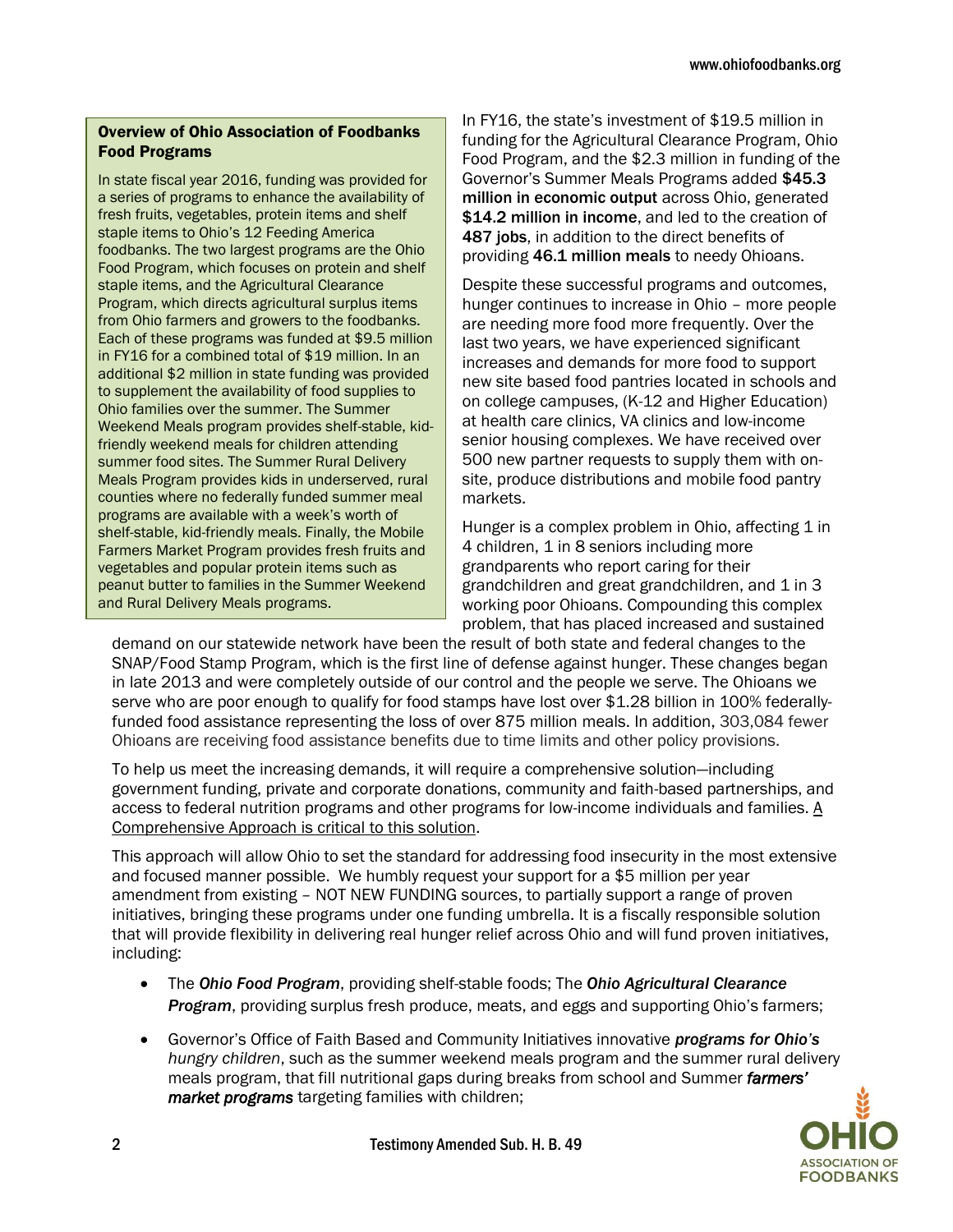# Overview of Ohio Association of Foodbanks Food Programs

In state fiscal year 2016, funding was provided for a series of programs to enhance the availability of fresh fruits, vegetables, protein items and shelf staple items to Ohio's 12 Feeding America foodbanks. The two largest programs are the Ohio Food Program, which focuses on protein and shelf staple items, and the Agricultural Clearance Program, which directs agricultural surplus items from Ohio farmers and growers to the foodbanks. Each of these programs was funded at \$9.5 million in FY16 for a combined total of \$19 million. In an additional \$2 million in state funding was provided to supplement the availability of food supplies to Ohio families over the summer. The Summer Weekend Meals program provides shelf-stable, kidfriendly weekend meals for children attending summer food sites. The Summer Rural Delivery Meals Program provides kids in underserved, rural counties where no federally funded summer meal programs are available with a week's worth of shelf-stable, kid-friendly meals. Finally, the Mobile Farmers Market Program provides fresh fruits and vegetables and popular protein items such as peanut butter to families in the Summer Weekend and Rural Delivery Meals programs.

In FY16, the state's investment of \$19.5 million in funding for the Agricultural Clearance Program, Ohio Food Program, and the \$2.3 million in funding of the Governor's Summer Meals Programs added \$45.3 million in economic output across Ohio, generated \$14.2 million in income, and led to the creation of 487 jobs, in addition to the direct benefits of providing 46.1 million meals to needy Ohioans.

Despite these successful programs and outcomes, hunger continues to increase in Ohio – more people are needing more food more frequently. Over the last two years, we have experienced significant increases and demands for more food to support new site based food pantries located in schools and on college campuses, (K-12 and Higher Education) at health care clinics, VA clinics and low-income senior housing complexes. We have received over 500 new partner requests to supply them with onsite, produce distributions and mobile food pantry markets.

Hunger is a complex problem in Ohio, affecting 1 in 4 children, 1 in 8 seniors including more grandparents who report caring for their grandchildren and great grandchildren, and 1 in 3 working poor Ohioans. Compounding this complex problem, that has placed increased and sustained

demand on our statewide network have been the result of both state and federal changes to the SNAP/Food Stamp Program, which is the first line of defense against hunger. These changes began in late 2013 and were completely outside of our control and the people we serve. The Ohioans we serve who are poor enough to qualify for food stamps have lost over \$1.28 billion in 100% federallyfunded food assistance representing the loss of over 875 million meals. In addition, 303,084 fewer Ohioans are receiving food assistance benefits due to time limits and other policy provisions.

To help us meet the increasing demands, it will require a comprehensive solution—including government funding, private and corporate donations, community and faith-based partnerships, and access to federal nutrition programs and other programs for low-income individuals and families. A Comprehensive Approach is critical to this solution.

This approach will allow Ohio to set the standard for addressing food insecurity in the most extensive and focused manner possible. We humbly request your support for a \$5 million per year amendment from existing – NOT NEW FUNDING sources, to partially support a range of proven initiatives, bringing these programs under one funding umbrella. It is a fiscally responsible solution that will provide flexibility in delivering real hunger relief across Ohio and will fund proven initiatives, including:

- The *Ohio Food Program*, providing shelf-stable foods; The *Ohio Agricultural Clearance Program*, providing surplus fresh produce, meats, and eggs and supporting Ohio's farmers;
- Governor's Office of Faith Based and Community Initiatives innovative *programs for Ohio's hungry children*, such as the summer weekend meals program and the summer rural delivery meals program, that fill nutritional gaps during breaks from school and Summer *farmers' market programs* targeting families with children;

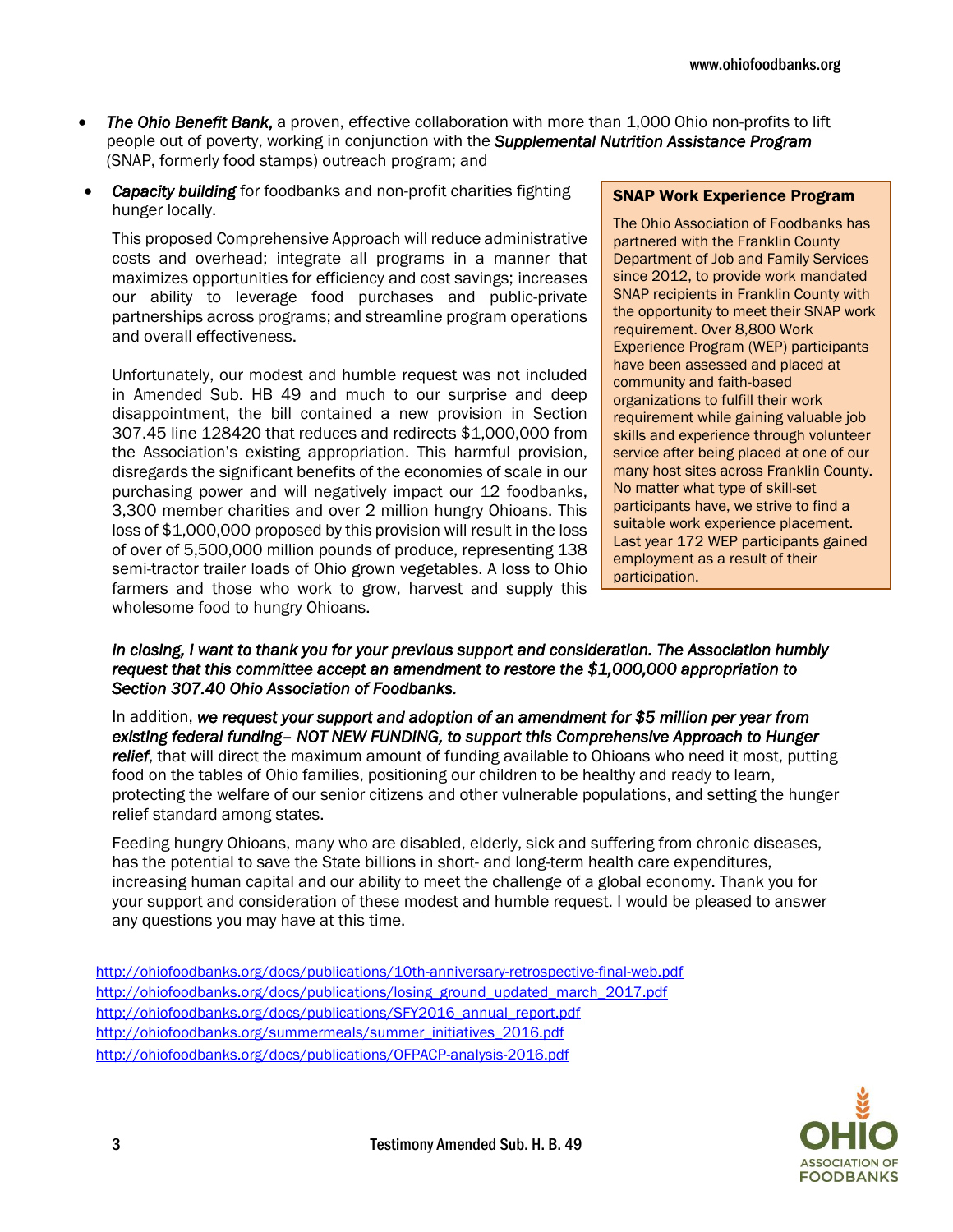- *The Ohio Benefit Bank*, a proven, effective collaboration with more than 1,000 Ohio non-profits to lift people out of poverty, working in conjunction with the *Supplemental Nutrition Assistance Program* (SNAP, formerly food stamps) outreach program; and
- *Capacity building* for foodbanks and non-profit charities fighting hunger locally.

This proposed Comprehensive Approach will reduce administrative costs and overhead; integrate all programs in a manner that maximizes opportunities for efficiency and cost savings; increases our ability to leverage food purchases and public-private partnerships across programs; and streamline program operations and overall effectiveness.

Unfortunately, our modest and humble request was not included in Amended Sub. HB 49 and much to our surprise and deep disappointment, the bill contained a new provision in Section 307.45 line 128420 that reduces and redirects \$1,000,000 from the Association's existing appropriation. This harmful provision, disregards the significant benefits of the economies of scale in our purchasing power and will negatively impact our 12 foodbanks, 3,300 member charities and over 2 million hungry Ohioans. This loss of \$1,000,000 proposed by this provision will result in the loss of over of 5,500,000 million pounds of produce, representing 138 semi-tractor trailer loads of Ohio grown vegetables. A loss to Ohio farmers and those who work to grow, harvest and supply this wholesome food to hungry Ohioans.

#### SNAP Work Experience Program

The Ohio Association of Foodbanks has partnered with the Franklin County Department of Job and Family Services since 2012, to provide work mandated SNAP recipients in Franklin County with the opportunity to meet their SNAP work requirement. Over 8,800 Work Experience Program (WEP) participants have been assessed and placed at community and faith-based organizations to fulfill their work requirement while gaining valuable job skills and experience through volunteer service after being placed at one of our many host sites across Franklin County. No matter what type of skill-set participants have, we strive to find a suitable work experience placement. Last year 172 WEP participants gained employment as a result of their participation.

*In closing, I want to thank you for your previous support and consideration. The Association humbly request that this committee accept an amendment to restore the \$1,000,000 appropriation to Section 307.40 Ohio Association of Foodbanks.* 

In addition, *we request your support and adoption of an amendment for \$5 million per year from existing federal funding– NOT NEW FUNDING, to support this Comprehensive Approach to Hunger relief*, that will direct the maximum amount of funding available to Ohioans who need it most, putting food on the tables of Ohio families, positioning our children to be healthy and ready to learn, protecting the welfare of our senior citizens and other vulnerable populations, and setting the hunger relief standard among states.

Feeding hungry Ohioans, many who are disabled, elderly, sick and suffering from chronic diseases, has the potential to save the State billions in short- and long-term health care expenditures, increasing human capital and our ability to meet the challenge of a global economy. Thank you for your support and consideration of these modest and humble request. I would be pleased to answer any questions you may have at this time.

<http://ohiofoodbanks.org/docs/publications/10th-anniversary-retrospective-final-web.pdf> [http://ohiofoodbanks.org/docs/publications/losing\\_ground\\_updated\\_march\\_2017.pdf](http://ohiofoodbanks.org/docs/publications/losing_ground_updated_march_2017.pdf) [http://ohiofoodbanks.org/docs/publications/SFY2016\\_annual\\_report.pdf](http://ohiofoodbanks.org/docs/publications/SFY2016_annual_report.pdf) [http://ohiofoodbanks.org/summermeals/summer\\_initiatives\\_2016.pdf](http://ohiofoodbanks.org/summermeals/summer_initiatives_2016.pdf) <http://ohiofoodbanks.org/docs/publications/OFPACP-analysis-2016.pdf>